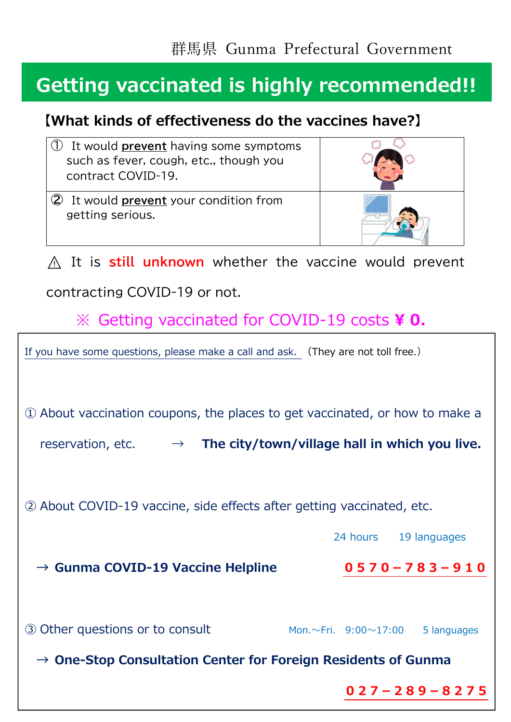## **Getting vaccinated is highly recommended!!**

### **【What kinds of effectiveness do the vaccines have?】**

| It would <b>prevent</b> having some symptoms<br>such as fever, cough, etc., though you<br>contract COVID-19. |                                                   |
|--------------------------------------------------------------------------------------------------------------|---------------------------------------------------|
| 2 It would <b>prevent</b> your condition from<br>getting serious.                                            |                                                   |
| $\wedge$ It is still unknown whether the vaccine would prevent                                               |                                                   |
| contracting COVID-19 or not.                                                                                 |                                                   |
| $\%$ Getting vaccinated for COVID-19 costs ¥ 0.                                                              |                                                   |
| If you have some questions, please make a call and ask. (They are not toll free.)                            |                                                   |
|                                                                                                              |                                                   |
| 10 About vaccination coupons, the places to get vaccinated, or how to make a                                 |                                                   |
| $\rightarrow$ The city/town/village hall in which you live.<br>reservation, etc.                             |                                                   |
|                                                                                                              |                                                   |
| 2 About COVID-19 vaccine, side effects after getting vaccinated, etc.                                        |                                                   |
|                                                                                                              | 24 hours 19 languages                             |
| $\rightarrow$ Gunma COVID-19 Vaccine Helpline                                                                | $0570 - 783 - 910$                                |
|                                                                                                              |                                                   |
| 3 Other questions or to consult                                                                              | 5 languages<br>Mon. $\sim$ Fri. 9:00 $\sim$ 17:00 |
| $\rightarrow$ One-Stop Consultation Center for Foreign Residents of Gunma                                    |                                                   |
|                                                                                                              | $027 - 289 - 8275$                                |